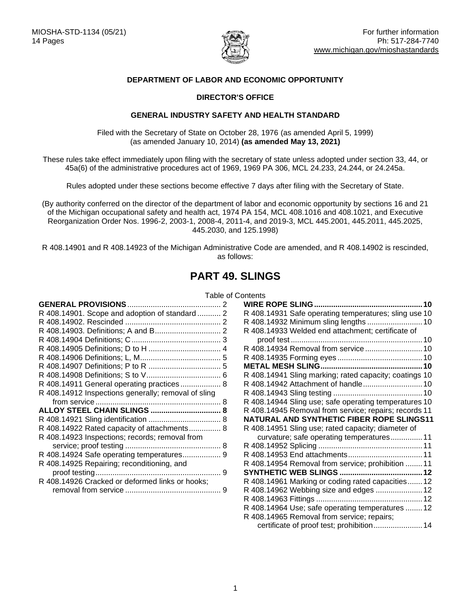

# **DEPARTMENT OF LABOR AND ECONOMIC OPPORTUNITY**

# **DIRECTOR'S OFFICE**

# **GENERAL INDUSTRY SAFETY AND HEALTH STANDARD**

Filed with the Secretary of State on October 28, 1976 (as amended April 5, 1999) (as amended January 10, 2014) **(as amended May 13, 2021)**

These rules take effect immediately upon filing with the secretary of state unless adopted under section 33, 44, or 45a(6) of the administrative procedures act of 1969, 1969 PA 306, MCL 24.233, 24.244, or 24.245a.

Rules adopted under these sections become effective 7 days after filing with the Secretary of State.

(By authority conferred on the director of the department of labor and economic opportunity by sections 16 and 21 of the Michigan occupational safety and health act, 1974 PA 154, MCL 408.1016 and 408.1021, and Executive Reorganization Order Nos. 1996-2, 2003-1, 2008-4, 2011-4, and 2019-3, MCL 445.2001, 445.2011, 445.2025, 445.2030, and 125.1998)

R 408.14901 and R 408.14923 of the Michigan Administrative Code are amended, and R 408.14902 is rescinded, as follows:

# **PART 49. SLINGS**

# Table of Contents

<span id="page-0-0"></span>

| <b>GENERAL PROVISIONS</b>                           |   |
|-----------------------------------------------------|---|
| R 408.14901. Scope and adoption of standard 2       |   |
|                                                     |   |
|                                                     |   |
|                                                     |   |
|                                                     |   |
|                                                     |   |
|                                                     |   |
|                                                     |   |
| R 408.14911 General operating practices 8           |   |
| R 408.14912 Inspections generally; removal of sling |   |
|                                                     |   |
|                                                     | 8 |
| ALLOY STEEL CHAIN SLINGS                            |   |
|                                                     | 8 |
| R 408.14922 Rated capacity of attachments 8         |   |
| R 408.14923 Inspections; records; removal from      |   |
|                                                     |   |
| R 408.14924 Safe operating temperatures 9           |   |
| R 408.14925 Repairing; reconditioning, and          |   |
|                                                     | 9 |
| R 408.14926 Cracked or deformed links or hooks;     |   |

| R 408.14931 Safe operating temperatures; sling use 10  |  |
|--------------------------------------------------------|--|
|                                                        |  |
| R 408.14933 Welded end attachment; certificate of      |  |
|                                                        |  |
|                                                        |  |
|                                                        |  |
|                                                        |  |
| R 408.14941 Sling marking; rated capacity; coatings 10 |  |
| R 408.14942 Attachment of handle 10                    |  |
|                                                        |  |
| R 408.14944 Sling use; safe operating temperatures 10  |  |
|                                                        |  |
| R 408.14945 Removal from service; repairs; records 11  |  |
| NATURAL AND SYNTHETIC FIBER ROPE SLINGS11              |  |
| R 408.14951 Sling use; rated capacity; diameter of     |  |
| curvature; safe operating temperatures 11              |  |
|                                                        |  |
|                                                        |  |
| R 408.14954 Removal from service; prohibition  11      |  |
|                                                        |  |
| R 408.14961 Marking or coding rated capacities 12      |  |
| R 408.14962 Webbing size and edges  12                 |  |
|                                                        |  |
| R 408.14964 Use; safe operating temperatures  12       |  |
| R 408.14965 Removal from service; repairs;             |  |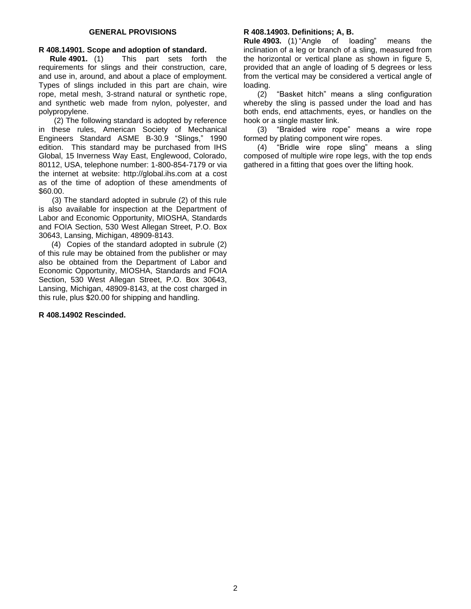# <span id="page-1-0"></span>**R 408.14901. Scope and adoption of standard.**

**Rule 4901.** (1) This part sets forth the requirements for slings and their construction, care, and use in, around, and about a place of employment. Types of slings included in this part are chain, wire rope, metal mesh, 3-strand natural or synthetic rope, and synthetic web made from nylon, polyester, and polypropylene.

 (2) The following standard is adopted by reference in these rules, American Society of Mechanical Engineers Standard ASME B-30.9 "Slings," 1990 edition. This standard may be purchased from IHS Global, 15 Inverness Way East, Englewood, Colorado, 80112, USA, telephone number: 1-800-854-7179 or via the internet at website: http://global.ihs.com at a cost as of the time of adoption of these amendments of \$60.00.

(3) The standard adopted in subrule (2) of this rule is also available for inspection at the Department of Labor and Economic Opportunity, MIOSHA, Standards and FOIA Section, 530 West Allegan Street, P.O. Box 30643, Lansing, Michigan, 48909-8143.

 (4) Copies of the standard adopted in subrule (2) of this rule may be obtained from the publisher or may also be obtained from the Department of Labor and Economic Opportunity, MIOSHA, Standards and FOIA Section, 530 West Allegan Street, P.O. Box 30643, Lansing, Michigan, 48909-8143, at the cost charged in this rule, plus \$20.00 for shipping and handling.

#### <span id="page-1-2"></span><span id="page-1-1"></span>**R 408.14902 Rescinded.**

#### **R 408.14903. Definitions; A, B.**

**Rule 4903.** (1) "Angle of loading" means the inclination of a leg or branch of a sling, measured from the horizontal or vertical plane as shown in figure 5, provided that an angle of loading of 5 degrees or less from the vertical may be considered a vertical angle of loading.

(2) "Basket hitch" means a sling configuration whereby the sling is passed under the load and has both ends, end attachments, eyes, or handles on the hook or a single master link.

(3) "Braided wire rope" means a wire rope formed by plating component wire ropes.

(4) "Bridle wire rope sling" means a sling composed of multiple wire rope legs, with the top ends gathered in a fitting that goes over the lifting hook.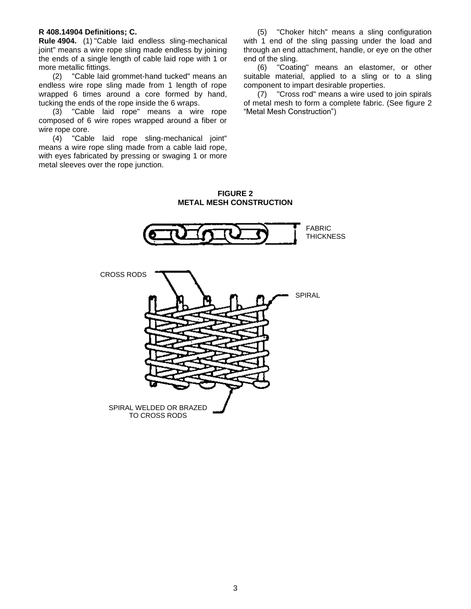#### <span id="page-2-0"></span>**R 408.14904 Definitions; C.**

**Rule 4904.** (1) "Cable laid endless sling-mechanical joint" means a wire rope sling made endless by joining the ends of a single length of cable laid rope with 1 or more metallic fittings.

(2) "Cable laid grommet-hand tucked" means an endless wire rope sling made from 1 length of rope wrapped 6 times around a core formed by hand, tucking the ends of the rope inside the 6 wraps.

(3) "Cable laid rope" means a wire rope composed of 6 wire ropes wrapped around a fiber or wire rope core.

(4) "Cable laid rope sling-mechanical joint" means a wire rope sling made from a cable laid rope, with eyes fabricated by pressing or swaging 1 or more metal sleeves over the rope junction.

(5) "Choker hitch" means a sling configuration with 1 end of the sling passing under the load and through an end attachment, handle, or eye on the other end of the sling.

(6) "Coating" means an elastomer, or other suitable material, applied to a sling or to a sling component to impart desirable properties.

(7) "Cross rod" means a wire used to join spirals of metal mesh to form a complete fabric. (See figure 2 "Metal Mesh Construction")

**FIGURE 2 METAL MESH CONSTRUCTION**

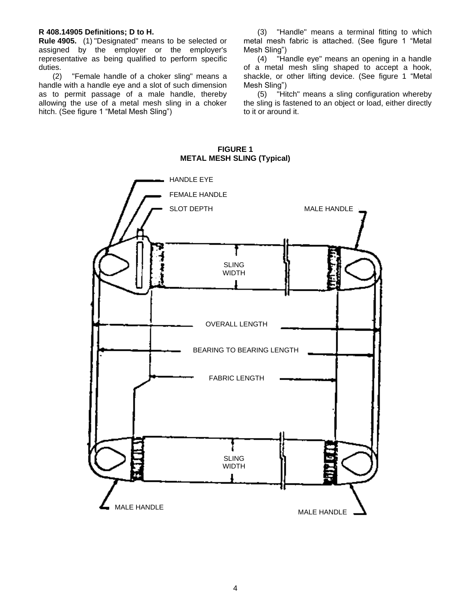#### <span id="page-3-0"></span>**R 408.14905 Definitions; D to H.**

**Rule 4905.** (1) "Designated" means to be selected or assigned by the employer or the employer's representative as being qualified to perform specific duties.

(2) "Female handle of a choker sling" means a handle with a handle eye and a slot of such dimension as to permit passage of a male handle, thereby allowing the use of a metal mesh sling in a choker hitch. (See figure 1 "Metal Mesh Sling")

(3) "Handle" means a terminal fitting to which metal mesh fabric is attached. (See figure 1 "Metal Mesh Sling")

(4) "Handle eye" means an opening in a handle of a metal mesh sling shaped to accept a hook, shackle, or other lifting device. (See figure 1 "Metal Mesh Sling")

(5) "Hitch" means a sling configuration whereby the sling is fastened to an object or load, either directly to it or around it.

# <span id="page-3-1"></span>MALE HANDLE HANDLE EYE FEMALE HANDLE SLOT DEPTH SLING WIDTH OVERALL LENGTH BEARING TO BEARING LENGTH FABRIC LENGTH SLING WIDTH MALE HANDLE<br>
MALE HANDLE

#### **FIGURE 1 METAL MESH SLING (Typical)**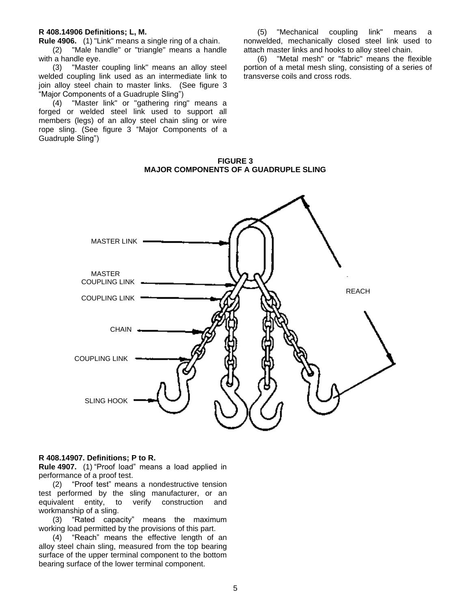#### **R 408.14906 Definitions; L, M.**

**Rule 4906.** (1) "Link" means a single ring of a chain.

(2) "Male handle" or "triangle" means a handle with a handle eye.

(3) "Master coupling link" means an alloy steel welded coupling link used as an intermediate link to join alloy steel chain to master links. (See figure 3 "Major Components of a Guadruple Sling")

(4) "Master link" or "gathering ring" means a forged or welded steel link used to support all members (legs) of an alloy steel chain sling or wire rope sling. (See figure 3 "Major Components of a Guadruple Sling")

(5) "Mechanical coupling link" means nonwelded, mechanically closed steel link used to attach master links and hooks to alloy steel chain.

(6) "Metal mesh" or "fabric" means the flexible portion of a metal mesh sling, consisting of a series of transverse coils and cross rods.

**FIGURE 3 MAJOR COMPONENTS OF A GUADRUPLE SLING**



#### <span id="page-4-0"></span>**R 408.14907. Definitions; P to R.**

**Rule 4907.** (1) "Proof load" means a load applied in performance of a proof test.

(2) "Proof test" means a nondestructive tension test performed by the sling manufacturer, or an equivalent entity, to verify construction and workmanship of a sling.

(3) "Rated capacity" means the maximum working load permitted by the provisions of this part.

(4) "Reach" means the effective length of an alloy steel chain sling, measured from the top bearing surface of the upper terminal component to the bottom bearing surface of the lower terminal component.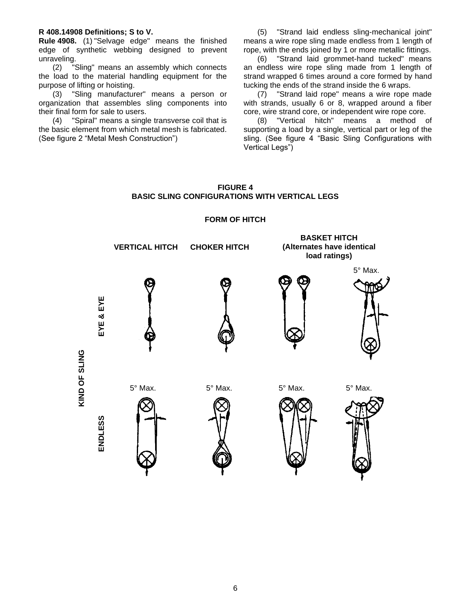#### <span id="page-5-0"></span>**R 408.14908 Definitions; S to V.**

**Rule 4908.** (1) "Selvage edge" means the finished edge of synthetic webbing designed to prevent unraveling.

(2) "Sling" means an assembly which connects the load to the material handling equipment for the purpose of lifting or hoisting.

(3) "Sling manufacturer" means a person or organization that assembles sling components into their final form for sale to users.

(4) "Spiral" means a single transverse coil that is the basic element from which metal mesh is fabricated. (See figure 2 "Metal Mesh Construction")

(5) "Strand laid endless sling-mechanical joint" means a wire rope sling made endless from 1 length of rope, with the ends joined by 1 or more metallic fittings.

(6) "Strand laid grommet-hand tucked" means an endless wire rope sling made from 1 length of strand wrapped 6 times around a core formed by hand tucking the ends of the strand inside the 6 wraps.

(7) "Strand laid rope" means a wire rope made with strands, usually 6 or 8, wrapped around a fiber core, wire strand core, or independent wire rope core.

(8) "Vertical hitch" means a method of supporting a load by a single, vertical part or leg of the sling. (See figure 4 "Basic Sling Configurations with Vertical Legs")

# **FIGURE 4 BASIC SLING CONFIGURATIONS WITH VERTICAL LEGS**

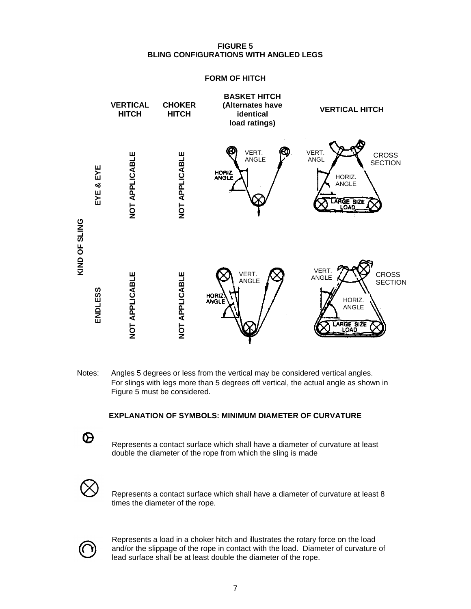# **FIGURE 5 BLING CONFIGURATIONS WITH ANGLED LEGS**

# **FORM OF HITCH**



Notes: Angles 5 degrees or less from the vertical may be considered vertical angles. For slings with legs more than 5 degrees off vertical, the actual angle as shown in Figure 5 must be considered.

# **EXPLANATION OF SYMBOLS: MINIMUM DIAMETER OF CURVATURE**

Represents a contact surface which shall have a diameter of curvature at least double the diameter of the rope from which the sling is made



Represents a contact surface which shall have a diameter of curvature at least 8 times the diameter of the rope.



Represents a load in a choker hitch and illustrates the rotary force on the load and/or the slippage of the rope in contact with the load. Diameter of curvature of lead surface shall be at least double the diameter of the rope.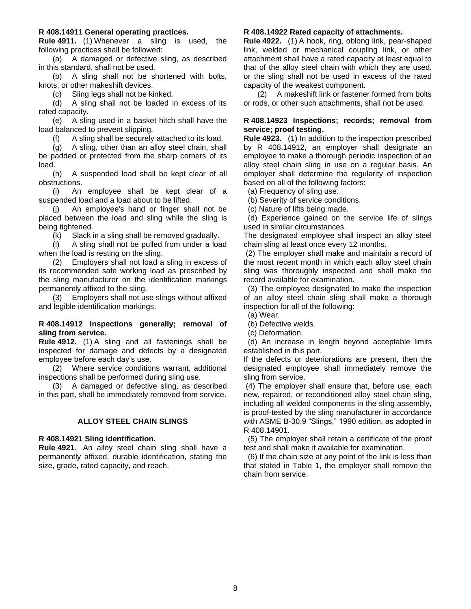#### <span id="page-7-0"></span>**R 408.14911 General operating practices.**

**Rule 4911.** (1) Whenever a sling is used, the following practices shall be followed:

(a) A damaged or defective sling, as described in this standard, shall not be used.

(b) A sling shall not be shortened with bolts, knots, or other makeshift devices.

(c) Sling legs shall not be kinked.

(d) A sling shall not be loaded in excess of its rated capacity.

(e) A sling used in a basket hitch shall have the load balanced to prevent slipping.

(f) A sling shall be securely attached to its load.

(g) A sling, other than an alloy steel chain, shall be padded or protected from the sharp corners of its load.

(h) A suspended load shall be kept clear of all obstructions.

(i) An employee shall be kept clear of a suspended load and a load about to be lifted.

(j) An employee's hand or finger shall not be placed between the load and sling while the sling is being tightened.

(k) Slack in a sling shall be removed gradually.

(l) A sling shall not be pulled from under a load when the load is resting on the sling.

(2) Employers shall not load a sling in excess of its recommended safe working load as prescribed by the sling manufacturer on the identification markings permanently affixed to the sling.

(3) Employers shall not use slings without affixed and legible identification markings.

#### <span id="page-7-1"></span>**R 408.14912 Inspections generally; removal of sling from service.**

**Rule 4912.** (1) A sling and all fastenings shall be inspected for damage and defects by a designated employee before each day's use.

(2) Where service conditions warrant, additional inspections shall be performed during sling use.

(3) A damaged or defective sling, as described in this part, shall be immediately removed from service.

#### **ALLOY STEEL CHAIN SLINGS**

#### <span id="page-7-3"></span><span id="page-7-2"></span>**R 408.14921 Sling identification.**

**Rule 4921**. An alloy steel chain sling shall have a permanently affixed, durable identification, stating the size, grade, rated capacity, and reach.

#### <span id="page-7-4"></span>**R 408.14922 Rated capacity of attachments.**

**Rule 4922.** (1) A hook, ring, oblong link, pear-shaped link, welded or mechanical coupling link, or other attachment shall have a rated capacity at least equal to that of the alloy steel chain with which they are used, or the sling shall not be used in excess of the rated capacity of the weakest component.

(2) A makeshift link or fastener formed from bolts or rods, or other such attachments, shall not be used.

#### <span id="page-7-5"></span>**R 408.14923 Inspections; records; removal from service; proof testing.**

**Rule 4923.** (1) In addition to the inspection prescribed by R 408.14912, an employer shall designate an employee to make a thorough periodic inspection of an alloy steel chain sling in use on a regular basis. An employer shall determine the regularity of inspection based on all of the following factors:

(a) Frequency of sling use.

(b) Severity of service conditions.

(c) Nature of lifts being made.

 (d) Experience gained on the service life of slings used in similar circumstances.

The designated employee shall inspect an alloy steel chain sling at least once every 12 months.

(2) The employer shall make and maintain a record of the most recent month in which each alloy steel chain sling was thoroughly inspected and shall make the record available for examination.

 (3) The employee designated to make the inspection of an alloy steel chain sling shall make a thorough inspection for all of the following:

(a) Wear.

(b) Defective welds.

(c) Deformation.

 (d) An increase in length beyond acceptable limits established in this part.

If the defects or deteriorations are present, then the designated employee shall immediately remove the sling from service.

(4) The employer shall ensure that, before use, each new, repaired, or reconditioned alloy steel chain sling, including all welded components in the sling assembly, is proof-tested by the sling manufacturer in accordance with ASME B-30.9 "Slings," 1990 edition, as adopted in R 408.14901.

 (5) The employer shall retain a certificate of the proof test and shall make it available for examination.

 (6) If the chain size at any point of the link is less than that stated in Table 1, the employer shall remove the chain from service.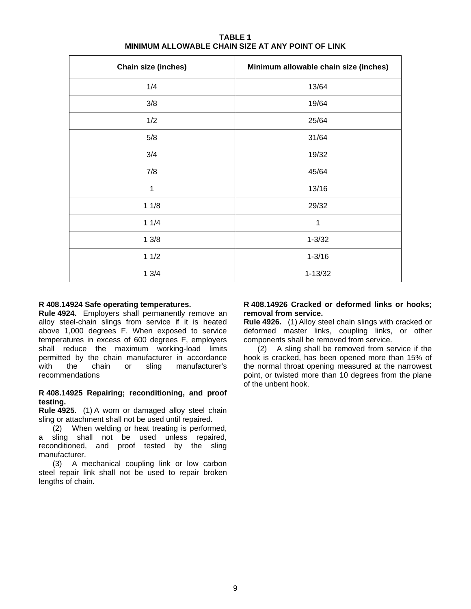| Chain size (inches) | Minimum allowable chain size (inches) |
|---------------------|---------------------------------------|
| 1/4                 | 13/64                                 |
| 3/8                 | 19/64                                 |
| 1/2                 | 25/64                                 |
| 5/8                 | 31/64                                 |
| 3/4                 | 19/32                                 |
| 7/8                 | 45/64                                 |
| 1                   | 13/16                                 |
| 11/8                | 29/32                                 |
| 11/4                | 1                                     |
| 13/8                | $1 - 3/32$                            |
| 11/2                | $1 - 3/16$                            |
| 13/4                | $1 - 13/32$                           |

# **TABLE 1 MINIMUM ALLOWABLE CHAIN SIZE AT ANY POINT OF LINK**

# <span id="page-8-0"></span>**R 408.14924 Safe operating temperatures.**

**Rule 4924.** Employers shall permanently remove an alloy steel-chain slings from service if it is heated above 1,000 degrees F. When exposed to service temperatures in excess of 600 degrees F, employers shall reduce the maximum working-load limits permitted by the chain manufacturer in accordance with the chain or sling manufacturer's recommendations

# <span id="page-8-1"></span>**R 408.14925 Repairing; reconditioning, and proof testing.**

**Rule 4925**. (1) A worn or damaged alloy steel chain sling or attachment shall not be used until repaired.

(2) When welding or heat treating is performed, a sling shall not be used unless repaired, reconditioned, and proof tested by the sling manufacturer.

<span id="page-8-2"></span>(3) A mechanical coupling link or low carbon steel repair link shall not be used to repair broken lengths of chain.

#### **R 408.14926 Cracked or deformed links or hooks; removal from service.**

**Rule 4926.** (1) Alloy steel chain slings with cracked or deformed master links, coupling links, or other components shall be removed from service.

<span id="page-8-3"></span>(2) A sling shall be removed from service if the hook is cracked, has been opened more than 15% of the normal throat opening measured at the narrowest point, or twisted more than 10 degrees from the plane of the unbent hook.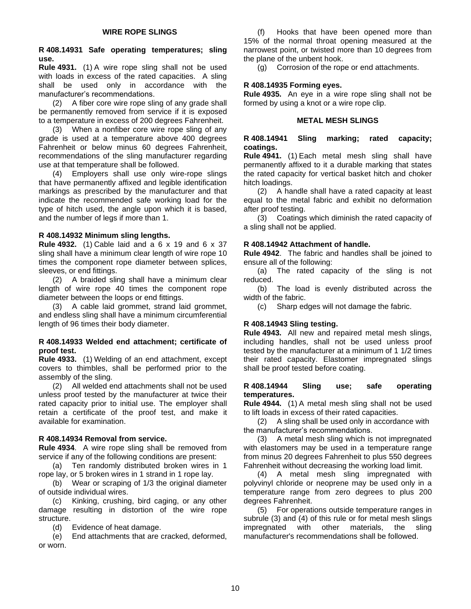# <span id="page-9-0"></span>**R 408.14931 Safe operating temperatures; sling use.**

**Rule 4931.** (1) A wire rope sling shall not be used with loads in excess of the rated capacities. A sling shall be used only in accordance with the manufacturer's recommendations.

(2) A fiber core wire rope sling of any grade shall be permanently removed from service if it is exposed to a temperature in excess of 200 degrees Fahrenheit.

(3) When a nonfiber core wire rope sling of any grade is used at a temperature above 400 degrees Fahrenheit or below minus 60 degrees Fahrenheit, recommendations of the sling manufacturer regarding use at that temperature shall be followed.

(4) Employers shall use only wire-rope slings that have permanently affixed and legible identification markings as prescribed by the manufacturer and that indicate the recommended safe working load for the type of hitch used, the angle upon which it is based, and the number of legs if more than 1.

# <span id="page-9-1"></span>**R 408.14932 Minimum sling lengths.**

**Rule 4932.** (1) Cable laid and a 6 x 19 and 6 x 37 sling shall have a minimum clear length of wire rope 10 times the component rope diameter between splices, sleeves, or end fittings.

(2) A braided sling shall have a minimum clear length of wire rope 40 times the component rope diameter between the loops or end fittings.

(3) A cable laid grommet, strand laid grommet, and endless sling shall have a minimum circumferential length of 96 times their body diameter.

#### <span id="page-9-2"></span>**R 408.14933 Welded end attachment; certificate of proof test.**

**Rule 4933.** (1) Welding of an end attachment, except covers to thimbles, shall be performed prior to the assembly of the sling.

(2) All welded end attachments shall not be used unless proof tested by the manufacturer at twice their rated capacity prior to initial use. The employer shall retain a certificate of the proof test, and make it available for examination.

#### <span id="page-9-3"></span>**R 408.14934 Removal from service.**

**Rule 4934**. A wire rope sling shall be removed from service if any of the following conditions are present:

(a) Ten randomly distributed broken wires in 1 rope lay, or 5 broken wires in 1 strand in 1 rope lay.

(b) Wear or scraping of 1/3 the original diameter of outside individual wires.

(c) Kinking, crushing, bird caging, or any other damage resulting in distortion of the wire rope structure.

(d) Evidence of heat damage.

(e) End attachments that are cracked, deformed, or worn.

(f) Hooks that have been opened more than 15% of the normal throat opening measured at the narrowest point, or twisted more than 10 degrees from the plane of the unbent hook.

(g) Corrosion of the rope or end attachments.

# <span id="page-9-4"></span>**R 408.14935 Forming eyes.**

**Rule 4935.** An eye in a wire rope sling shall not be formed by using a knot or a wire rope clip.

# **METAL MESH SLINGS**

#### <span id="page-9-6"></span><span id="page-9-5"></span>**R 408.14941 Sling marking; rated capacity; coatings.**

**Rule 4941.** (1) Each metal mesh sling shall have permanently affixed to it a durable marking that states the rated capacity for vertical basket hitch and choker hitch loadings.

(2) A handle shall have a rated capacity at least equal to the metal fabric and exhibit no deformation after proof testing.

(3) Coatings which diminish the rated capacity of a sling shall not be applied.

#### <span id="page-9-7"></span>**R 408.14942 Attachment of handle.**

**Rule 4942**. The fabric and handles shall be joined to ensure all of the following:

(a) The rated capacity of the sling is not reduced.

(b) The load is evenly distributed across the width of the fabric.

(c) Sharp edges will not damage the fabric.

# <span id="page-9-8"></span>**R 408.14943 Sling testing.**

**Rule 4943.** All new and repaired metal mesh slings, including handles, shall not be used unless proof tested by the manufacturer at a minimum of 1 1/2 times their rated capacity. Elastomer impregnated slings shall be proof tested before coating.

#### <span id="page-9-9"></span>**R 408.14944 Sling use; safe operating temperatures.**

**Rule 4944.** (1) A metal mesh sling shall not be used to lift loads in excess of their rated capacities.

(2) A sling shall be used only in accordance with the manufacturer's recommendations.

(3) A metal mesh sling which is not impregnated with elastomers may be used in a temperature range from minus 20 degrees Fahrenheit to plus 550 degrees Fahrenheit without decreasing the working load limit.

(4) A metal mesh sling impregnated with polyvinyl chloride or neoprene may be used only in a temperature range from zero degrees to plus 200 degrees Fahrenheit.

<span id="page-9-10"></span>(5) For operations outside temperature ranges in subrule (3) and (4) of this rule or for metal mesh slings impregnated with other materials, the sling manufacturer's recommendations shall be followed.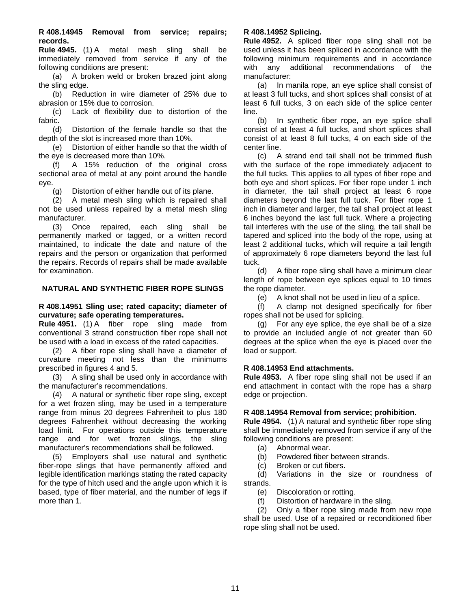**R 408.14945 Removal from service; repairs; records.** 

**Rule 4945.** (1) A metal mesh sling shall be immediately removed from service if any of the following conditions are present:

(a) A broken weld or broken brazed joint along the sling edge.

(b) Reduction in wire diameter of 25% due to abrasion or 15% due to corrosion.

(c) Lack of flexibility due to distortion of the fabric.

(d) Distortion of the female handle so that the depth of the slot is increased more than 10%.

(e) Distortion of either handle so that the width of the eye is decreased more than 10%.

(f) A 15% reduction of the original cross sectional area of metal at any point around the handle eye.

(g) Distortion of either handle out of its plane.

(2) A metal mesh sling which is repaired shall not be used unless repaired by a metal mesh sling manufacturer.

(3) Once repaired, each sling shall be permanently marked or tagged, or a written record maintained, to indicate the date and nature of the repairs and the person or organization that performed the repairs. Records of repairs shall be made available for examination.

#### <span id="page-10-0"></span>**NATURAL AND SYNTHETIC FIBER ROPE SLINGS**

#### <span id="page-10-1"></span>**R 408.14951 Sling use; rated capacity; diameter of curvature; safe operating temperatures.**

**Rule 4951.** (1) A fiber rope sling made from conventional 3 strand construction fiber rope shall not be used with a load in excess of the rated capacities.

(2) A fiber rope sling shall have a diameter of curvature meeting not less than the minimums prescribed in figures 4 and 5.

(3) A sling shall be used only in accordance with the manufacturer's recommendations.

(4) A natural or synthetic fiber rope sling, except for a wet frozen sling, may be used in a temperature range from minus 20 degrees Fahrenheit to plus 180 degrees Fahrenheit without decreasing the working load limit. For operations outside this temperature range and for wet frozen slings, the sling manufacturer's recommendations shall be followed.

<span id="page-10-2"></span>(5) Employers shall use natural and synthetic fiber-rope slings that have permanently affixed and legible identification markings stating the rated capacity for the type of hitch used and the angle upon which it is based, type of fiber material, and the number of legs if more than 1.

# **R 408.14952 Splicing.**

**Rule 4952.** A spliced fiber rope sling shall not be used unless it has been spliced in accordance with the following minimum requirements and in accordance with any additional recommendations of the manufacturer:

(a) In manila rope, an eye splice shall consist of at least 3 full tucks, and short splices shall consist of at least 6 full tucks, 3 on each side of the splice center line.

(b) In synthetic fiber rope, an eye splice shall consist of at least 4 full tucks, and short splices shall consist of at least 8 full tucks, 4 on each side of the center line.

(c) A strand end tail shall not be trimmed flush with the surface of the rope immediately adjacent to the full tucks. This applies to all types of fiber rope and both eye and short splices. For fiber rope under 1 inch in diameter, the tail shall project at least 6 rope diameters beyond the last full tuck. For fiber rope 1 inch in diameter and larger, the tail shall project at least 6 inches beyond the last full tuck. Where a projecting tail interferes with the use of the sling, the tail shall be tapered and spliced into the body of the rope, using at least 2 additional tucks, which will require a tail length of approximately 6 rope diameters beyond the last full tuck.

(d) A fiber rope sling shall have a minimum clear length of rope between eye splices equal to 10 times the rope diameter.

(e) A knot shall not be used in lieu of a splice.

(f) A clamp not designed specifically for fiber ropes shall not be used for splicing.

(g) For any eye splice, the eye shall be of a size to provide an included angle of not greater than 60 degrees at the splice when the eye is placed over the load or support.

#### <span id="page-10-3"></span>**R 408.14953 End attachments.**

**Rule 4953.** A fiber rope sling shall not be used if an end attachment in contact with the rope has a sharp edge or projection.

#### <span id="page-10-4"></span>**R 408.14954 Removal from service; prohibition.**

**Rule 4954.** (1) A natural and synthetic fiber rope sling shall be immediately removed from service if any of the following conditions are present:

- (a) Abnormal wear.
- (b) Powdered fiber between strands.
- (c) Broken or cut fibers.

(d) Variations in the size or roundness of strands.

(e) Discoloration or rotting.

(f) Distortion of hardware in the sling.

<span id="page-10-5"></span>(2) Only a fiber rope sling made from new rope shall be used. Use of a repaired or reconditioned fiber rope sling shall not be used.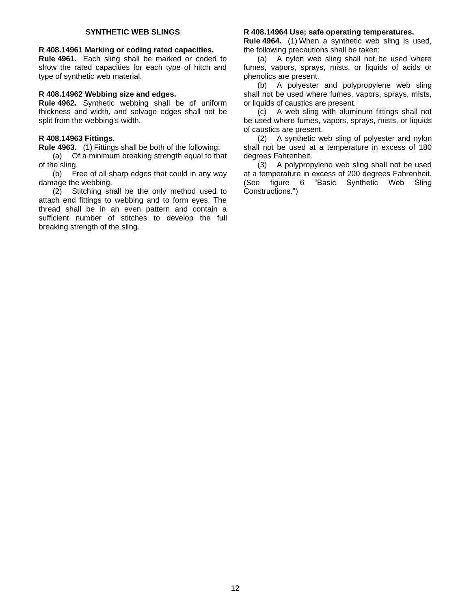#### **SYNTHETIC WEB SLINGS**

#### <span id="page-11-0"></span>**R 408.14961 Marking or coding rated capacities.**

**Rule 4961.** Each sling shall be marked or coded to show the rated capacities for each type of hitch and type of synthetic web material.

#### <span id="page-11-1"></span>**R 408.14962 Webbing size and edges.**

**Rule 4962.** Synthetic webbing shall be of uniform thickness and width, and selvage edges shall not be split from the webbing's width.

#### <span id="page-11-2"></span>**R 408.14963 Fittings.**

**Rule 4963.** (1) Fittings shall be both of the following:

(a) Of a minimum breaking strength equal to that of the sling.

(b) Free of all sharp edges that could in any way damage the webbing.

(2) Stitching shall be the only method used to attach end fittings to webbing and to form eyes. The thread shall be in an even pattern and contain a sufficient number of stitches to develop the full breaking strength of the sling.

#### <span id="page-11-3"></span>**R 408.14964 Use; safe operating temperatures.**

**Rule 4964.** (1) When a synthetic web sling is used, the following precautions shall be taken:

(a) A nylon web sling shall not be used where fumes, vapors, sprays, mists, or liquids of acids or phenolics are present.

(b) A polyester and polypropylene web sling shall not be used where fumes, vapors, sprays, mists, or liquids of caustics are present.

(c) A web sling with aluminum fittings shall not be used where fumes, vapors, sprays, mists, or liquids of caustics are present.

(2) A synthetic web sling of polyester and nylon shall not be used at a temperature in excess of 180 degrees Fahrenheit.

(3) A polypropylene web sling shall not be used at a temperature in excess of 200 degrees Fahrenheit. (See figure 6 "Basic Synthetic Web Sling Constructions.")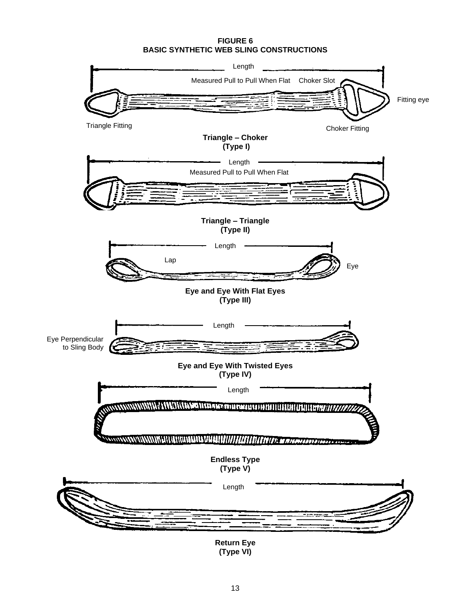#### **FIGURE 6 BASIC SYNTHETIC WEB SLING CONSTRUCTIONS**